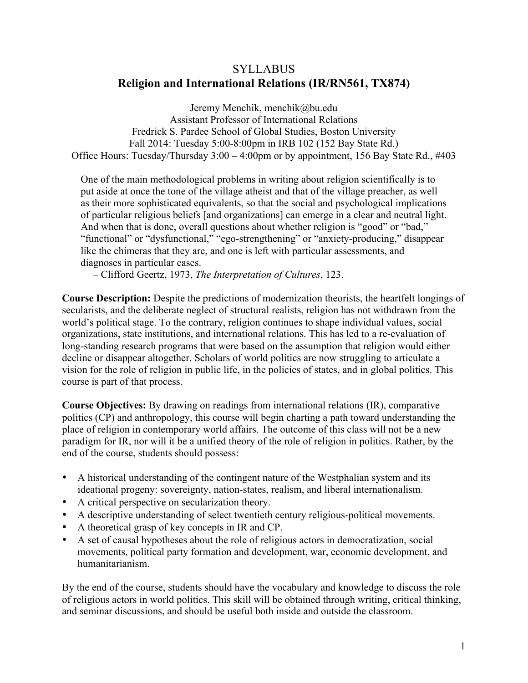# **SYLLABUS Religion and International Relations (IR/RN561, TX874)**

Jeremy Menchik, menchik@bu.edu Assistant Professor of International Relations Fredrick S. Pardee School of Global Studies, Boston University Fall 2014: Tuesday 5:00-8:00pm in IRB 102 (152 Bay State Rd.) Office Hours: Tuesday/Thursday 3:00 – 4:00pm or by appointment, 156 Bay State Rd., #403

One of the main methodological problems in writing about religion scientifically is to put aside at once the tone of the village atheist and that of the village preacher, as well as their more sophisticated equivalents, so that the social and psychological implications of particular religious beliefs [and organizations] can emerge in a clear and neutral light. And when that is done, overall questions about whether religion is "good" or "bad," "functional" or "dysfunctional," "ego-strengthening" or "anxiety-producing," disappear like the chimeras that they are, and one is left with particular assessments, and diagnoses in particular cases.

– Clifford Geertz, 1973, *The Interpretation of Cultures*, 123.

**Course Description:** Despite the predictions of modernization theorists, the heartfelt longings of secularists, and the deliberate neglect of structural realists, religion has not withdrawn from the world's political stage. To the contrary, religion continues to shape individual values, social organizations, state institutions, and international relations. This has led to a re-evaluation of long-standing research programs that were based on the assumption that religion would either decline or disappear altogether. Scholars of world politics are now struggling to articulate a vision for the role of religion in public life, in the policies of states, and in global politics. This course is part of that process.

**Course Objectives:** By drawing on readings from international relations (IR), comparative politics (CP) and anthropology, this course will begin charting a path toward understanding the place of religion in contemporary world affairs. The outcome of this class will not be a new paradigm for IR, nor will it be a unified theory of the role of religion in politics. Rather, by the end of the course, students should possess:

- A historical understanding of the contingent nature of the Westphalian system and its ideational progeny: sovereignty, nation-states, realism, and liberal internationalism.
- A critical perspective on secularization theory.
- A descriptive understanding of select twentieth century religious-political movements.
- A theoretical grasp of key concepts in IR and CP.
- A set of causal hypotheses about the role of religious actors in democratization, social movements, political party formation and development, war, economic development, and humanitarianism.

By the end of the course, students should have the vocabulary and knowledge to discuss the role of religious actors in world politics. This skill will be obtained through writing, critical thinking, and seminar discussions, and should be useful both inside and outside the classroom.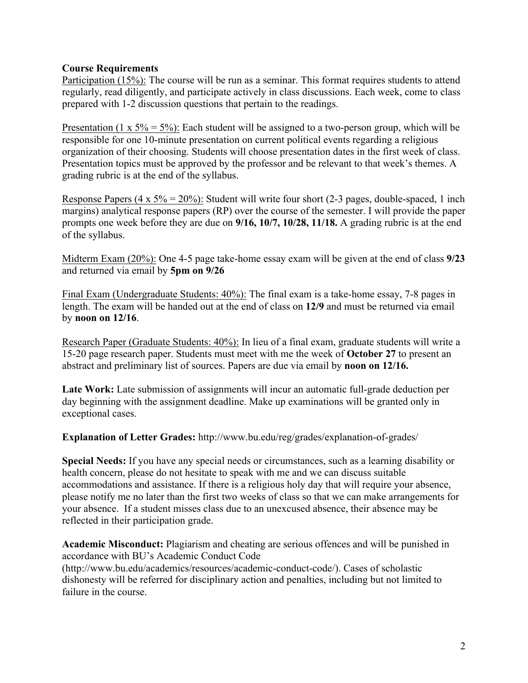#### **Course Requirements**

Participation (15%): The course will be run as a seminar. This format requires students to attend regularly, read diligently, and participate actively in class discussions. Each week, come to class prepared with 1-2 discussion questions that pertain to the readings.

Presentation (1 x 5% = 5%): Each student will be assigned to a two-person group, which will be responsible for one 10-minute presentation on current political events regarding a religious organization of their choosing. Students will choose presentation dates in the first week of class. Presentation topics must be approved by the professor and be relevant to that week's themes. A grading rubric is at the end of the syllabus.

Response Papers  $(4 \times 5\% = 20\%)$ : Student will write four short (2-3 pages, double-spaced, 1 inch margins) analytical response papers (RP) over the course of the semester. I will provide the paper prompts one week before they are due on **9/16, 10/7, 10/28, 11/18.** A grading rubric is at the end of the syllabus.

Midterm Exam (20%): One 4-5 page take-home essay exam will be given at the end of class **9/23** and returned via email by **5pm on 9/26**

Final Exam (Undergraduate Students: 40%): The final exam is a take-home essay, 7-8 pages in length. The exam will be handed out at the end of class on **12/9** and must be returned via email by **noon on 12/16**.

Research Paper (Graduate Students: 40%): In lieu of a final exam, graduate students will write a 15-20 page research paper. Students must meet with me the week of **October 27** to present an abstract and preliminary list of sources. Papers are due via email by **noon on 12/16.**

**Late Work:** Late submission of assignments will incur an automatic full-grade deduction per day beginning with the assignment deadline. Make up examinations will be granted only in exceptional cases.

**Explanation of Letter Grades:** http://www.bu.edu/reg/grades/explanation-of-grades/

**Special Needs:** If you have any special needs or circumstances, such as a learning disability or health concern, please do not hesitate to speak with me and we can discuss suitable accommodations and assistance. If there is a religious holy day that will require your absence, please notify me no later than the first two weeks of class so that we can make arrangements for your absence. If a student misses class due to an unexcused absence, their absence may be reflected in their participation grade.

**Academic Misconduct:** Plagiarism and cheating are serious offences and will be punished in accordance with BU's Academic Conduct Code

(http://www.bu.edu/academics/resources/academic-conduct-code/). Cases of scholastic dishonesty will be referred for disciplinary action and penalties, including but not limited to failure in the course.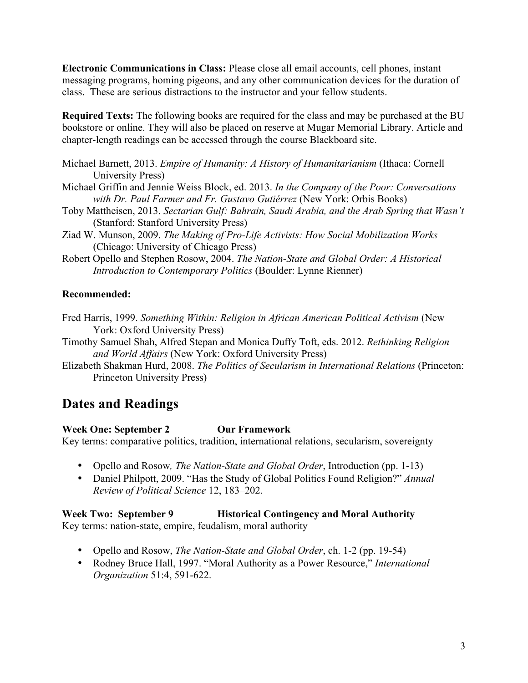**Electronic Communications in Class:** Please close all email accounts, cell phones, instant messaging programs, homing pigeons, and any other communication devices for the duration of class. These are serious distractions to the instructor and your fellow students.

**Required Texts:** The following books are required for the class and may be purchased at the BU bookstore or online. They will also be placed on reserve at Mugar Memorial Library. Article and chapter-length readings can be accessed through the course Blackboard site.

- Michael Barnett, 2013. *Empire of Humanity: A History of Humanitarianism* (Ithaca: Cornell University Press)
- Michael Griffin and Jennie Weiss Block, ed. 2013. *In the Company of the Poor: Conversations with Dr. Paul Farmer and Fr. Gustavo Gutiérrez* (New York: Orbis Books)
- Toby Mattheisen, 2013. *Sectarian Gulf: Bahrain, Saudi Arabia, and the Arab Spring that Wasn't* (Stanford: Stanford University Press)
- Ziad W. Munson, 2009. *The Making of Pro-Life Activists: How Social Mobilization Works*  (Chicago: University of Chicago Press)
- Robert Opello and Stephen Rosow, 2004. *The Nation-State and Global Order: A Historical Introduction to Contemporary Politics* (Boulder: Lynne Rienner)

### **Recommended:**

- Fred Harris, 1999. *Something Within: Religion in African American Political Activism* (New York: Oxford University Press)
- Timothy Samuel Shah, Alfred Stepan and Monica Duffy Toft, eds. 2012. *Rethinking Religion and World Affairs* (New York: Oxford University Press)
- Elizabeth Shakman Hurd, 2008. *The Politics of Secularism in International Relations* (Princeton: Princeton University Press)

# **Dates and Readings**

### **Week One: September 2 Our Framework**

Key terms: comparative politics, tradition, international relations, secularism, sovereignty

- Opello and Rosow*, The Nation-State and Global Order*, Introduction (pp. 1-13)
- Daniel Philpott, 2009. "Has the Study of Global Politics Found Religion?" *Annual Review of Political Science* 12, 183–202.

# **Week Two: September 9 Historical Contingency and Moral Authority**

Key terms: nation-state, empire, feudalism, moral authority

- Opello and Rosow, *The Nation-State and Global Order*, ch. 1-2 (pp. 19-54)
- Rodney Bruce Hall, 1997. "Moral Authority as a Power Resource," *International Organization* 51:4, 591-622.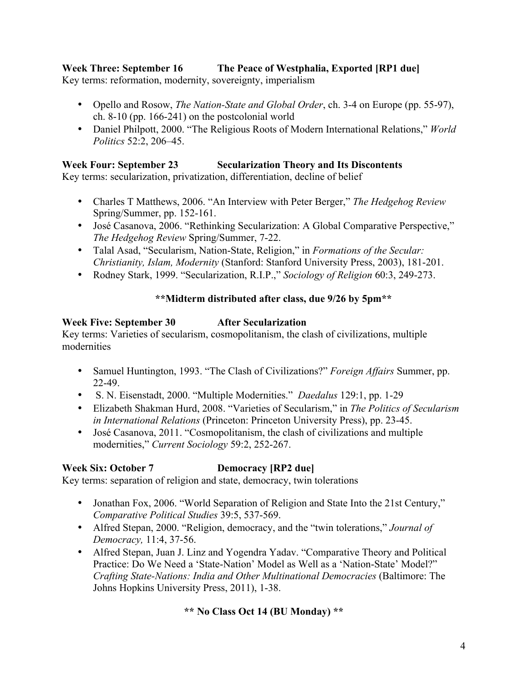# **Week Three: September 16 The Peace of Westphalia, Exported [RP1 due]**

Key terms: reformation, modernity, sovereignty, imperialism

- Opello and Rosow, *The Nation-State and Global Order*, ch. 3-4 on Europe (pp. 55-97), ch. 8-10 (pp. 166-241) on the postcolonial world
- Daniel Philpott, 2000. "The Religious Roots of Modern International Relations," *World Politics* 52:2, 206–45.

## **Week Four: September 23 Secularization Theory and Its Discontents**

Key terms: secularization, privatization, differentiation, decline of belief

- Charles T Matthews, 2006. "An Interview with Peter Berger," *The Hedgehog Review* Spring/Summer, pp. 152-161.
- José Casanova, 2006. "Rethinking Secularization: A Global Comparative Perspective," *The Hedgehog Review* Spring/Summer, 7-22.
- Talal Asad, "Secularism, Nation-State, Religion," in *Formations of the Secular: Christianity, Islam, Modernity* (Stanford: Stanford University Press, 2003), 181-201.
- Rodney Stark, 1999. "Secularization, R.I.P.," *Sociology of Religion* 60:3, 249-273.

## **\*\*Midterm distributed after class, due 9/26 by 5pm\*\***

## **Week Five: September 30 After Secularization**

Key terms: Varieties of secularism, cosmopolitanism, the clash of civilizations, multiple modernities

- Samuel Huntington, 1993. "The Clash of Civilizations?" *Foreign Affairs* Summer, pp. 22-49.
- S. N. Eisenstadt, 2000. "Multiple Modernities." *Daedalus* 129:1, pp. 1-29
- Elizabeth Shakman Hurd, 2008. "Varieties of Secularism," in *The Politics of Secularism in International Relations* (Princeton: Princeton University Press), pp. 23-45.
- José Casanova, 2011. "Cosmopolitanism, the clash of civilizations and multiple modernities," *Current Sociology* 59:2, 252-267.

## **Week Six: October 7 Democracy [RP2 due]**

Key terms: separation of religion and state, democracy, twin tolerations

- Jonathan Fox, 2006. "World Separation of Religion and State Into the 21st Century," *Comparative Political Studies* 39:5, 537-569.
- Alfred Stepan, 2000. "Religion, democracy, and the "twin tolerations," *Journal of Democracy,* 11:4, 37-56.
- Alfred Stepan, Juan J. Linz and Yogendra Yadav. "Comparative Theory and Political Practice: Do We Need a 'State-Nation' Model as Well as a 'Nation-State' Model?" *Crafting State-Nations: India and Other Multinational Democracies* (Baltimore: The Johns Hopkins University Press, 2011), 1-38.

## **\*\* No Class Oct 14 (BU Monday) \*\***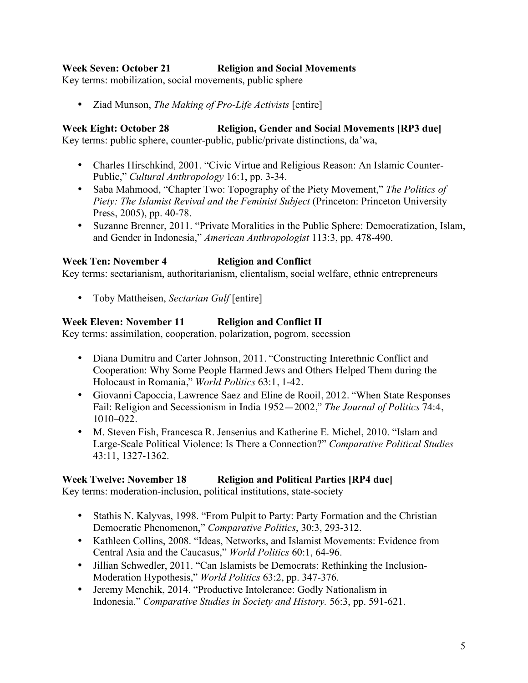### **Week Seven: October 21 Religion and Social Movements**

Key terms: mobilization, social movements, public sphere

• Ziad Munson, *The Making of Pro-Life Activists* [entire]

**Week Eight: October 28 Religion, Gender and Social Movements [RP3 due]** Key terms: public sphere, counter-public, public/private distinctions, da'wa,

- Charles Hirschkind, 2001. "Civic Virtue and Religious Reason: An Islamic Counter-Public," *Cultural Anthropology* 16:1, pp. 3-34.
- Saba Mahmood, "Chapter Two: Topography of the Piety Movement," *The Politics of Piety: The Islamist Revival and the Feminist Subject* (Princeton: Princeton University Press, 2005), pp. 40-78.
- Suzanne Brenner, 2011. "Private Moralities in the Public Sphere: Democratization, Islam, and Gender in Indonesia," *American Anthropologist* 113:3, pp. 478-490.

### **Week Ten: November 4 Religion and Conflict**

Key terms: sectarianism, authoritarianism, clientalism, social welfare, ethnic entrepreneurs

• Toby Mattheisen, *Sectarian Gulf* [entire]

### **Week Eleven: November 11 Religion and Conflict II**

Key terms: assimilation, cooperation, polarization, pogrom, secession

- Diana Dumitru and Carter Johnson, 2011. "Constructing Interethnic Conflict and Cooperation: Why Some People Harmed Jews and Others Helped Them during the Holocaust in Romania," *World Politics* 63:1, 1-42.
- Giovanni Capoccia, Lawrence Saez and Eline de Rooil, 2012. "When State Responses Fail: Religion and Secessionism in India 1952—2002," *The Journal of Politics* 74:4, 1010–022.
- M. Steven Fish, Francesca R. Jensenius and Katherine E. Michel, 2010. "Islam and Large-Scale Political Violence: Is There a Connection?" *Comparative Political Studies*  43:11, 1327-1362.

### **Week Twelve: November 18 Religion and Political Parties [RP4 due]**

Key terms: moderation-inclusion, political institutions, state-society

- Stathis N. Kalyvas, 1998. "From Pulpit to Party: Party Formation and the Christian Democratic Phenomenon," *Comparative Politics*, 30:3, 293-312.
- Kathleen Collins, 2008. "Ideas, Networks, and Islamist Movements: Evidence from Central Asia and the Caucasus," *World Politics* 60:1, 64-96.
- Jillian Schwedler, 2011. "Can Islamists be Democrats: Rethinking the Inclusion-Moderation Hypothesis," *World Politics* 63:2, pp. 347-376.
- Jeremy Menchik, 2014. "Productive Intolerance: Godly Nationalism in Indonesia." *Comparative Studies in Society and History.* 56:3, pp. 591-621.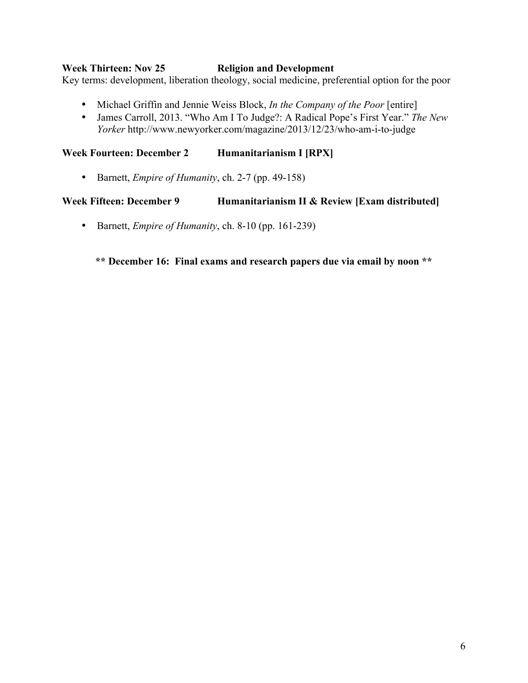#### **Week Thirteen: Nov 25 Religion and Development**

Key terms: development, liberation theology, social medicine, preferential option for the poor

- Michael Griffin and Jennie Weiss Block, *In the Company of the Poor* [entire]
- James Carroll, 2013. "Who Am I To Judge?: A Radical Pope's First Year." *The New Yorker* http://www.newyorker.com/magazine/2013/12/23/who-am-i-to-judge

**Week Fourteen: December 2 Humanitarianism I [RPX]**

• Barnett, *Empire of Humanity*, ch. 2-7 (pp. 49-158)

#### **Week Fifteen: December 9 Humanitarianism II & Review [Exam distributed]**

• Barnett, *Empire of Humanity*, ch. 8-10 (pp. 161-239)

**\*\* December 16: Final exams and research papers due via email by noon \*\***